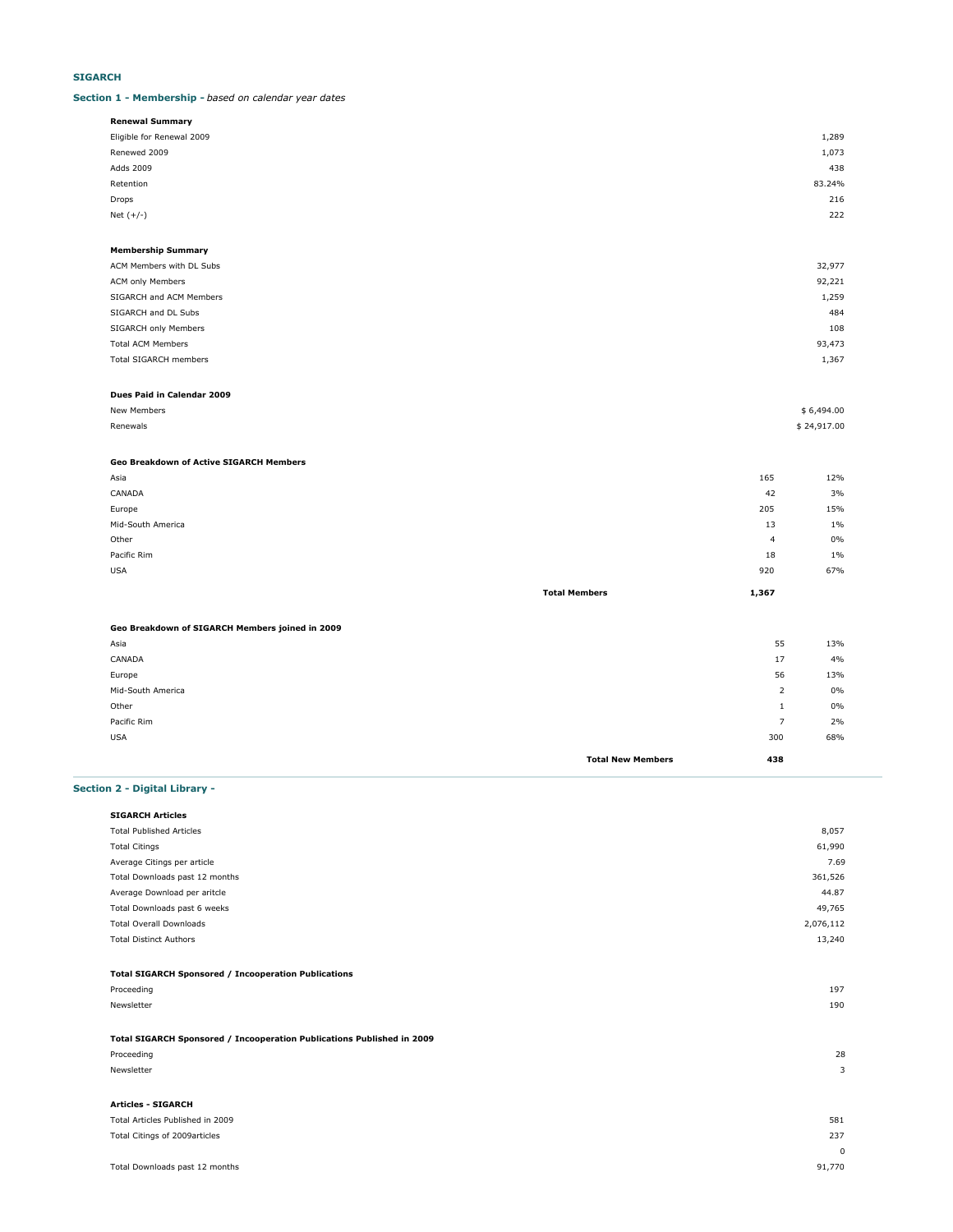## **SIGARCH**

#### **Section 1 - Membership -** *based on calendar year dates*

| Renewal Summary           |        |
|---------------------------|--------|
| Eligible for Renewal 2009 | 1,289  |
| Renewed 2009              | 1,073  |
| Adds 2009                 | 438    |
| Retention                 | 83.24% |
| Drops                     | 216    |
| Net $(+/-)$               | 222    |
|                           |        |

### **Membership Summary**

| ACM Members with DL Subs     | 32,977 |
|------------------------------|--------|
| ACM only Members             | 92,221 |
| SIGARCH and ACM Members      | 1,259  |
| SIGARCH and DL Subs          | 484    |
| SIGARCH only Members         | 108    |
| <b>Total ACM Members</b>     | 93,473 |
| <b>Total SIGARCH members</b> | 1,367  |
|                              |        |

#### **Dues Paid in Calendar 2009**

| New Members | \$6,494.00  |
|-------------|-------------|
| Renewals    | \$24,917.00 |

# **Geo Breakdown of Active SIGARCH Members**

| Asia              | 165                           | 12%                     |
|-------------------|-------------------------------|-------------------------|
| CANADA            |                               | 42<br>3%                |
| Europe            | 205                           | 15%                     |
| Mid-South America |                               | 13<br>$1\%$             |
| Other             |                               | $0\%$<br>$\overline{4}$ |
| Pacific Rim       |                               | $1\%$<br>18             |
| <b>USA</b>        | 920                           | 67%                     |
|                   | <b>Total Members</b><br>1,367 |                         |

#### **Geo Breakdown of SIGARCH Members joined in 2009**

| <u>see Breakaenn er szemken members jemec m zees</u> |                          |     |     |
|------------------------------------------------------|--------------------------|-----|-----|
| Asia                                                 |                          | 55  | 13% |
| CANADA                                               |                          | 17  | 4%  |
| Europe                                               |                          | 56  | 13% |
| Mid-South America                                    |                          | 2   | 0%  |
| Other                                                |                          | ÷   | 0%  |
| Pacific Rim                                          |                          | -   | 2%  |
| <b>USA</b>                                           |                          | 300 | 68% |
|                                                      | <b>Total New Members</b> | 438 |     |

### **Section 2 - Digital Library -**

| <b>SIGARCH Articles</b>         |           |
|---------------------------------|-----------|
| <b>Total Published Articles</b> | 8,057     |
| <b>Total Citings</b>            | 61,990    |
| Average Citings per article     | 7.69      |
| Total Downloads past 12 months  | 361,526   |
| Average Download per aritcle    | 44.87     |
| Total Downloads past 6 weeks    | 49,765    |
| <b>Total Overall Downloads</b>  | 2,076,112 |
| <b>Total Distinct Authors</b>   | 13,240    |
|                                 |           |

### **Total SIGARCH Sponsored / Incooperation Publications**

| Proceeding | 197 |
|------------|-----|
| Newsletter | 190 |
|            |     |

## **Total SIGARCH Sponsored / Incooperation Publications Published in 2009**

| Proceeding                | 28 |
|---------------------------|----|
| Newsletter                | о  |
|                           |    |
| <b>Articles - SIGARCH</b> |    |

| Total Articles Published in 2009 | 581      |
|----------------------------------|----------|
| Total Citings of 2009articles    | 237      |
|                                  | $\Omega$ |
| Total Downloads past 12 months   | 91,770   |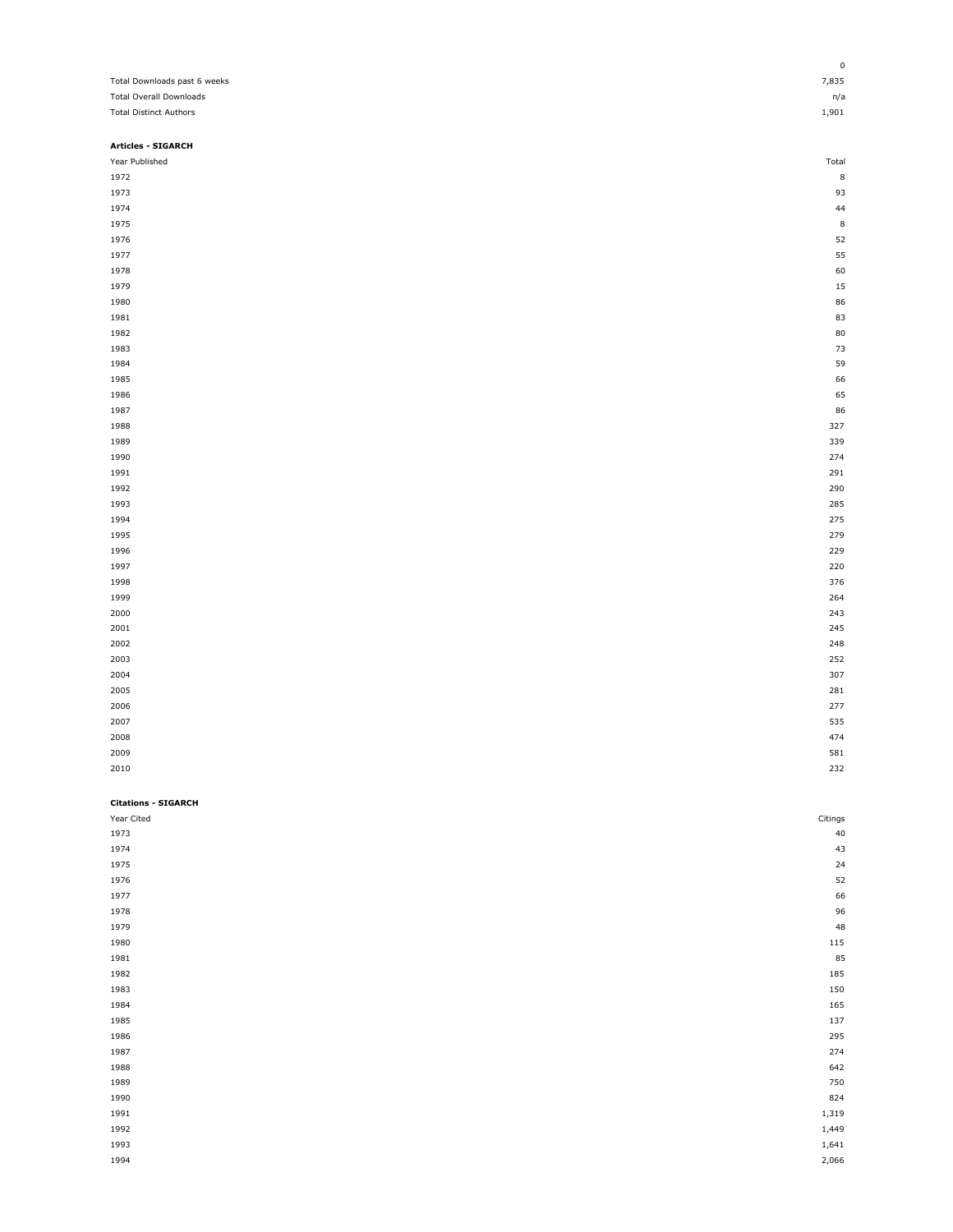|                                | $\pmb{0}$      |
|--------------------------------|----------------|
| Total Downloads past 6 weeks   | 7,835          |
| <b>Total Overall Downloads</b> | n/a            |
| <b>Total Distinct Authors</b>  | 1,901          |
|                                |                |
| <b>Articles - SIGARCH</b>      |                |
| Year Published                 | Total          |
| 1972                           | $\bf8$         |
| 1973                           | 93             |
| 1974                           | 44             |
| 1975                           | 8              |
| 1976                           | 52             |
| 1977                           | 55             |
| 1978                           | 60             |
| 1979                           | 15<br>86       |
| 1980<br>1981                   | 83             |
| 1982                           | 80             |
| 1983                           | 73             |
| 1984                           | 59             |
| 1985                           | 66             |
| 1986                           | 65             |
| 1987                           | 86             |
| 1988                           | 327            |
| 1989                           | 339            |
| 1990                           | 274            |
| 1991                           | 291            |
| 1992                           | 290            |
| 1993                           | 285            |
| 1994                           | 275            |
| 1995                           | 279            |
| 1996                           | 229            |
| 1997                           | 220            |
| 1998                           | 376            |
| 1999<br>2000                   | 264<br>243     |
| 2001                           | 245            |
| 2002                           | 248            |
| 2003                           | 252            |
| 2004                           | 307            |
| 2005                           | 281            |
| 2006                           | 277            |
| 2007                           | 535            |
| 2008                           | 474            |
| 2009                           | 581            |
| 2010                           | 232            |
|                                |                |
| <b>Citations - SIGARCH</b>     |                |
| Year Cited                     | Citings        |
| 1973                           | $40\,$         |
| 1974                           | 43             |
| 1975                           | 24<br>52       |
| 1976<br>1977                   | 66             |
| 1978                           | 96             |
| 1979                           | 48             |
| 1980                           | 115            |
| 1981                           | 85             |
| 1982                           | 185            |
| 1983                           | 150            |
| 1984                           | 165            |
| 1985                           | 137            |
| 1986                           | 295            |
| 1987                           | 274            |
| 1988                           | 642            |
| 1989                           | 750            |
| 1990                           | 824            |
| 1991                           | 1,319          |
| 1992                           | 1,449          |
| 1993<br>1994                   | 1,641<br>2,066 |
|                                |                |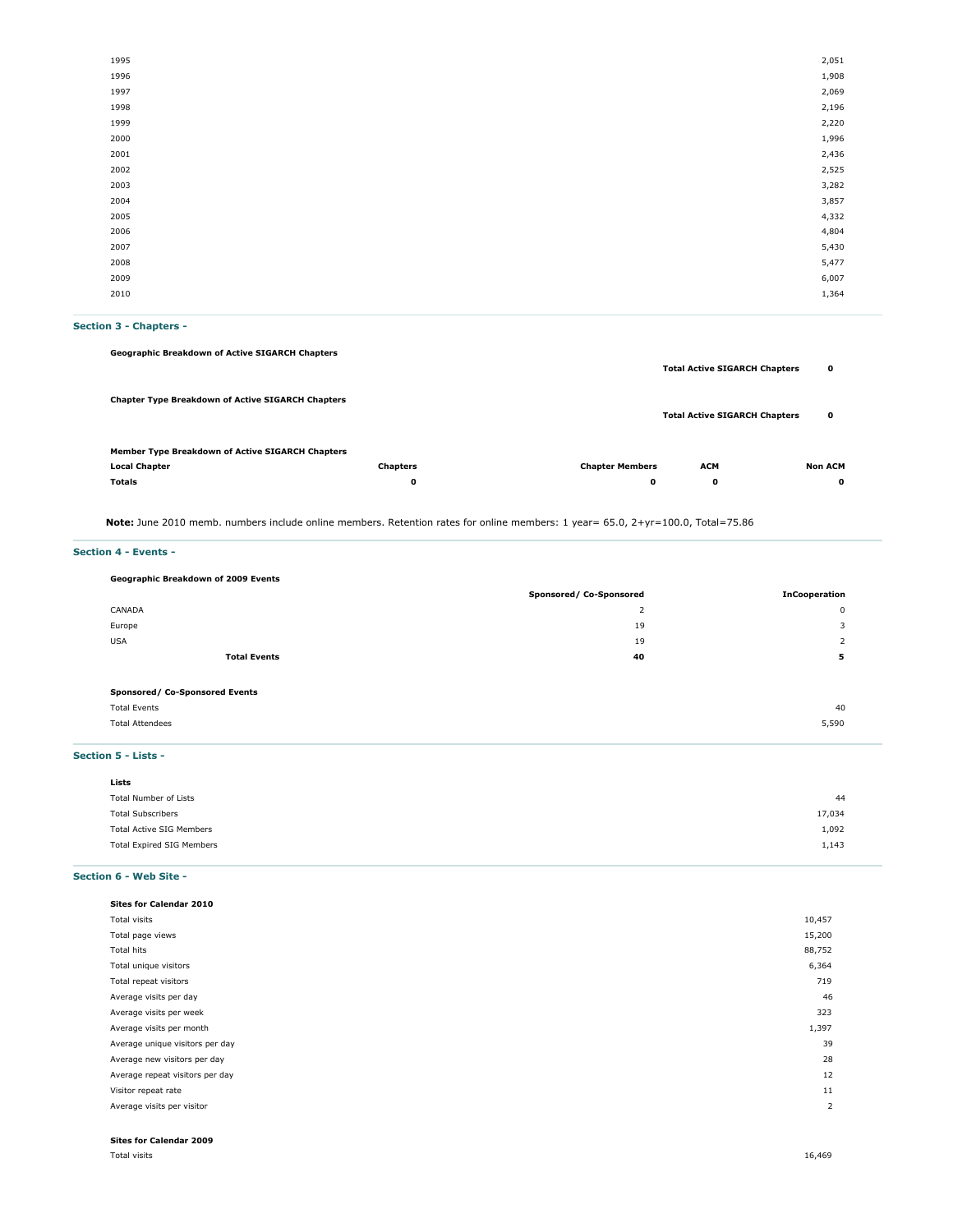| 1995 | 2,051 |
|------|-------|
| 1996 | 1,908 |
| 1997 | 2,069 |
| 1998 | 2,196 |
| 1999 | 2,220 |
| 2000 | 1,996 |
| 2001 | 2,436 |
| 2002 | 2,525 |
| 2003 | 3,282 |
| 2004 | 3,857 |
| 2005 | 4,332 |
| 2006 | 4,804 |
| 2007 | 5,430 |
| 2008 | 5,477 |
| 2009 | 6,007 |
| 2010 | 1,364 |
|      |       |

# **Section 3 - Chapters -**

**Geographic Breakdown of Active SIGARCH Chapters**

|                                                          |                 |                        | <b>Total Active SIGARCH Chapters</b> | 0              |
|----------------------------------------------------------|-----------------|------------------------|--------------------------------------|----------------|
| <b>Chapter Type Breakdown of Active SIGARCH Chapters</b> |                 |                        | <b>Total Active SIGARCH Chapters</b> | 0              |
| Member Type Breakdown of Active SIGARCH Chapters         |                 |                        |                                      |                |
| <b>Local Chapter</b>                                     | <b>Chapters</b> | <b>Chapter Members</b> | <b>ACM</b>                           | <b>Non ACM</b> |
| <b>Totals</b>                                            | 0               | 0                      | 0                                    | $\mathbf o$    |
|                                                          |                 |                        |                                      |                |

**Note:** June 2010 memb. numbers include online members. Retention rates for online members: 1 year= 65.0, 2+yr=100.0, Total=75.86

### **Section 4 - Events -**

| Geographic Breakdown of 2009 Events |                         |                      |  |  |  |
|-------------------------------------|-------------------------|----------------------|--|--|--|
|                                     | Sponsored/ Co-Sponsored | <b>InCooperation</b> |  |  |  |
| CANADA                              | $\overline{ }$<br>∠     | 0                    |  |  |  |
| Europe                              | 19                      | 3                    |  |  |  |
| <b>USA</b>                          | 19                      |                      |  |  |  |
| <b>Total Events</b>                 | 40                      | 5                    |  |  |  |
|                                     |                         |                      |  |  |  |
| Sponsored/ Co-Sponsored Events      |                         |                      |  |  |  |
| <b>Total Events</b>                 |                         | 40                   |  |  |  |
|                                     |                         |                      |  |  |  |

### **Section 5 - Lists -**

| Lists                            |        |
|----------------------------------|--------|
| Total Number of Lists            | 44     |
| <b>Total Subscribers</b>         | 17,034 |
| Total Active SIG Members         | 1,092  |
| <b>Total Expired SIG Members</b> | 1,143  |
|                                  |        |

Total Attendees 5,590

## **Section 6 - Web Site -**

| Sites for Calendar 2010         |        |
|---------------------------------|--------|
| Total visits                    | 10,457 |
| Total page views                | 15,200 |
| Total hits                      | 88,752 |
| Total unique visitors           | 6,364  |
| Total repeat visitors           | 719    |
| Average visits per day          | 46     |
| Average visits per week         | 323    |
| Average visits per month        | 1,397  |
| Average unique visitors per day | 39     |
| Average new visitors per day    | 28     |
| Average repeat visitors per day | 12     |
| Visitor repeat rate             | 11     |
| Average visits per visitor      | 2      |
|                                 |        |

## **Sites for Calendar 2009**

Total visits 16,469